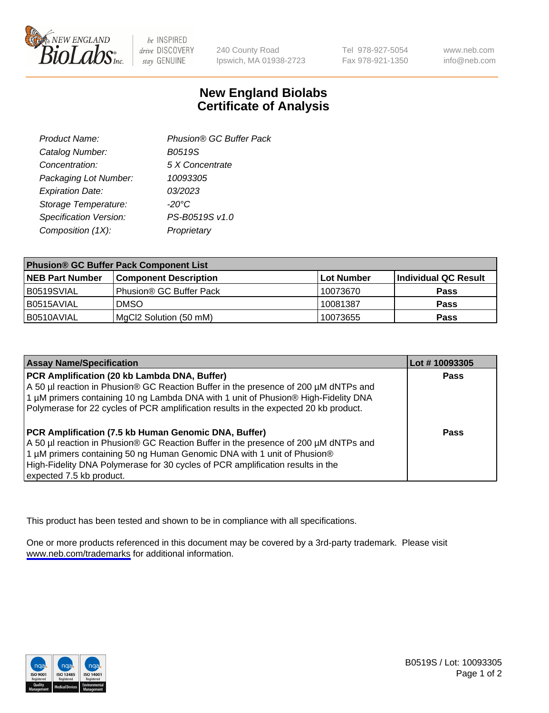

be INSPIRED drive DISCOVERY stay GENUINE

240 County Road Ipswich, MA 01938-2723 Tel 978-927-5054 Fax 978-921-1350

www.neb.com info@neb.com

## **New England Biolabs Certificate of Analysis**

| Product Name:           | Phusion® GC Buffer Pack |
|-------------------------|-------------------------|
| Catalog Number:         | B0519S                  |
| Concentration:          | 5 X Concentrate         |
| Packaging Lot Number:   | 10093305                |
| <b>Expiration Date:</b> | 03/2023                 |
| Storage Temperature:    | $-20^{\circ}$ C         |
| Specification Version:  | PS-B0519S v1.0          |
| Composition (1X):       | Proprietary             |
|                         |                         |

| <b>Phusion® GC Buffer Pack Component List</b> |                              |             |                      |  |
|-----------------------------------------------|------------------------------|-------------|----------------------|--|
| <b>NEB Part Number</b>                        | <b>Component Description</b> | ∣Lot Number | Individual QC Result |  |
| B0519SVIAL                                    | Phusion® GC Buffer Pack      | 10073670    | <b>Pass</b>          |  |
| B0515AVIAL                                    | <b>DMSO</b>                  | 10081387    | <b>Pass</b>          |  |
| B0510AVIAL                                    | MgCl2 Solution (50 mM)       | 10073655    | <b>Pass</b>          |  |

| <b>Assay Name/Specification</b>                                                                                                                                                                                                                                                                                                      | Lot #10093305 |
|--------------------------------------------------------------------------------------------------------------------------------------------------------------------------------------------------------------------------------------------------------------------------------------------------------------------------------------|---------------|
| PCR Amplification (20 kb Lambda DNA, Buffer)<br>A 50 µl reaction in Phusion® GC Reaction Buffer in the presence of 200 µM dNTPs and<br>1 μM primers containing 10 ng Lambda DNA with 1 unit of Phusion® High-Fidelity DNA<br>Polymerase for 22 cycles of PCR amplification results in the expected 20 kb product.                    | <b>Pass</b>   |
| PCR Amplification (7.5 kb Human Genomic DNA, Buffer)<br>A 50 µl reaction in Phusion® GC Reaction Buffer in the presence of 200 µM dNTPs and<br>1 µM primers containing 50 ng Human Genomic DNA with 1 unit of Phusion®<br>High-Fidelity DNA Polymerase for 30 cycles of PCR amplification results in the<br>expected 7.5 kb product. | <b>Pass</b>   |

This product has been tested and shown to be in compliance with all specifications.

One or more products referenced in this document may be covered by a 3rd-party trademark. Please visit <www.neb.com/trademarks>for additional information.